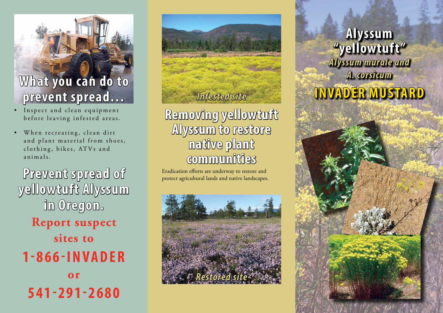## **What you can do to prevent spread…**

- Inspect and clean equipment before leaving infested areas.
- When recreating, clean dirt and plant material from shoes, clothing, bikes, ATVs and animals.

**Prevent spread of yellowtuft Alyssum in Oregon. Report suspect sites to 1 - 8 6 6 - I N V A D E R or 541-291-2680**

## **Removing yellowtuft Alyssum to restore native plant communities**

Eradication efforts are underway to restore and protect agricultural lands and native landscapes.



**Alyssum "yellowtuft"** *Alyssum murale and A. corsicum Infested site* **INVADER MUSTARD**